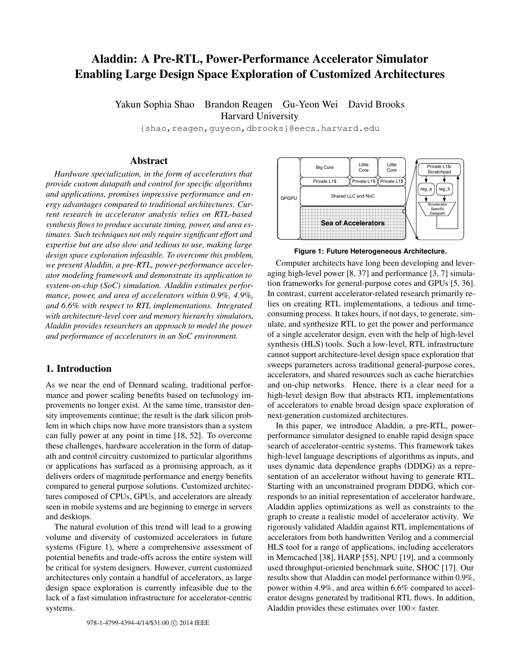# Aladdin: A Pre-RTL, Power-Performance Accelerator Simulator Enabling Large Design Space Exploration of Customized Architectures

Yakun Sophia Shao Brandon Reagen Gu-Yeon Wei David Brooks Harvard University

{shao,reagen,guyeon,dbrooks}@eecs.harvard.edu

# Abstract

*Hardware specialization, in the form of accelerators that provide custom datapath and control for specific algorithms and applications, promises impressive performance and energy advantages compared to traditional architectures. Current research in accelerator analysis relies on RTL-based synthesis flows to produce accurate timing, power, and area estimates. Such techniques not only require significant effort and expertise but are also slow and tedious to use, making large design space exploration infeasible. To overcome this problem, we present Aladdin, a pre-RTL, power-performance accelerator modeling framework and demonstrate its application to system-on-chip (SoC) simulation. Aladdin estimates performance, power, and area of accelerators within 0.9%, 4.9%, and 6.6% with respect to RTL implementations. Integrated with architecture-level core and memory hierarchy simulators, Aladdin provides researchers an approach to model the power and performance of accelerators in an SoC environment.*

# 1. Introduction

As we near the end of Dennard scaling, traditional performance and power scaling benefits based on technology improvements no longer exist. At the same time, transistor density improvements continue; the result is the dark silicon problem in which chips now have more transistors than a system can fully power at any point in time [18, 52]. To overcome these challenges, hardware acceleration in the form of datapath and control circuitry customized to particular algorithms or applications has surfaced as a promising approach, as it delivers orders of magnitude performance and energy benefits compared to general purpose solutions. Customized architectures composed of CPUs, GPUs, and accelerators are already seen in mobile systems and are beginning to emerge in servers and desktops.

The natural evolution of this trend will lead to a growing volume and diversity of customized accelerators in future systems (Figure 1), where a comprehensive assessment of potential benefits and trade-offs across the entire system will be critical for system designers. However, current customized architectures only contain a handful of accelerators, as large design space exploration is currently infeasible due to the lack of a fast simulation infrastructure for accelerator-centric systems.



**Figure 1: Future Heterogeneous Architecture.**

Computer architects have long been developing and leveraging high-level power [8, 37] and performance [3, 7] simulation frameworks for general-purpose cores and GPUs [5, 36]. In contrast, current accelerator-related research primarily relies on creating RTL implementations, a tedious and timeconsuming process. It takes hours, if not days, to generate, simulate, and synthesize RTL to get the power and performance of a single accelerator design, even with the help of high-level synthesis (HLS) tools. Such a low-level, RTL infrastructure cannot support architecture-level design space exploration that sweeps parameters across traditional general-purpose cores, accelerators, and shared resources such as cache hierarchies and on-chip networks. Hence, there is a clear need for a high-level design flow that abstracts RTL implementations of accelerators to enable broad design space exploration of next-generation customized architectures.

In this paper, we introduce Aladdin, a pre-RTL, powerperformance simulator designed to enable rapid design space search of accelerator-centric systems. This framework takes high-level language descriptions of algorithms as inputs, and uses dynamic data dependence graphs (DDDG) as a representation of an accelerator without having to generate RTL. Starting with an unconstrained program DDDG, which corresponds to an initial representation of accelerator hardware, Aladdin applies optimizations as well as constraints to the graph to create a realistic model of accelerator activity. We rigorously validated Aladdin against RTL implementations of accelerators from both handwritten Verilog and a commercial HLS tool for a range of applications, including accelerators in Memcached [38], HARP [55], NPU [19], and a commonly used throughput-oriented benchmark suite, SHOC [17]. Our results show that Aladdin can model performance within 0.9%, power within 4.9%, and area within 6.6% compared to accelerator designs generated by traditional RTL flows. In addition, Aladdin provides these estimates over  $100\times$  faster.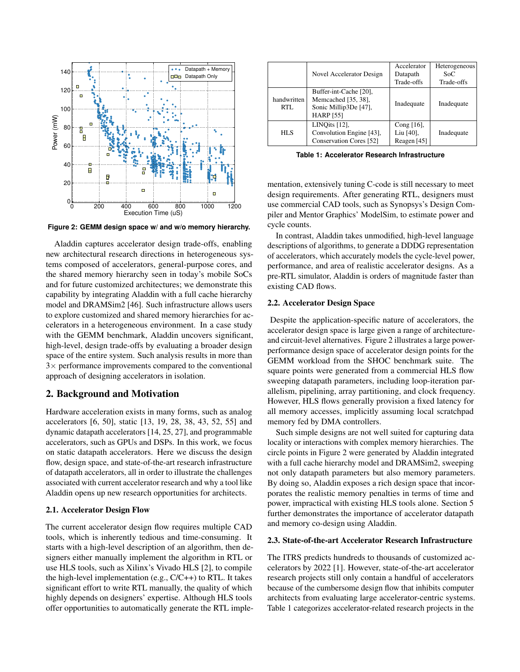

**Figure 2: GEMM design space w/ and w/o memory hierarchy.**

Aladdin captures accelerator design trade-offs, enabling new architectural research directions in heterogeneous systems composed of accelerators, general-purpose cores, and the shared memory hierarchy seen in today's mobile SoCs and for future customized architectures; we demonstrate this capability by integrating Aladdin with a full cache hierarchy model and DRAMSim2 [46]. Such infrastructure allows users to explore customized and shared memory hierarchies for accelerators in a heterogeneous environment. In a case study with the GEMM benchmark, Aladdin uncovers significant, high-level, design trade-offs by evaluating a broader design space of the entire system. Such analysis results in more than  $3\times$  performance improvements compared to the conventional approach of designing accelerators in isolation.

# 2. Background and Motivation

Hardware acceleration exists in many forms, such as analog accelerators [6, 50], static [13, 19, 28, 38, 43, 52, 55] and dynamic datapath accelerators [14, 25, 27], and programmable accelerators, such as GPUs and DSPs. In this work, we focus on static datapath accelerators. Here we discuss the design flow, design space, and state-of-the-art research infrastructure of datapath accelerators, all in order to illustrate the challenges associated with current accelerator research and why a tool like Aladdin opens up new research opportunities for architects.

## 2.1. Accelerator Design Flow

The current accelerator design flow requires multiple CAD tools, which is inherently tedious and time-consuming. It starts with a high-level description of an algorithm, then designers either manually implement the algorithm in RTL or use HLS tools, such as Xilinx's Vivado HLS [2], to compile the high-level implementation (e.g.,  $C/C++$ ) to RTL. It takes significant effort to write RTL manually, the quality of which highly depends on designers' expertise. Although HLS tools offer opportunities to automatically generate the RTL imple-

|                    | Novel Accelerator Design                                                                   | Accelerator<br>Datapath<br>Trade-offs     | Heterogeneous<br>$S_0C$<br>Trade-offs |
|--------------------|--------------------------------------------------------------------------------------------|-------------------------------------------|---------------------------------------|
| handwritten<br>RTL | Buffer-int-Cache [20],<br>Memcached [35, 38],<br>Sonic Millip3De [47],<br><b>HARP</b> [55] | Inadequate                                | Inadequate                            |
| HL S               | LINOits $[12]$ ,<br>Convolution Engine [43],<br><b>Conservation Cores</b> [52]             | Cong $[16]$ ,<br>Liu [40],<br>Reagen [45] | Inadequate                            |

**Table 1: Accelerator Research Infrastructure**

mentation, extensively tuning C-code is still necessary to meet design requirements. After generating RTL, designers must use commercial CAD tools, such as Synopsys's Design Compiler and Mentor Graphics' ModelSim, to estimate power and cycle counts.

In contrast, Aladdin takes unmodified, high-level language descriptions of algorithms, to generate a DDDG representation of accelerators, which accurately models the cycle-level power, performance, and area of realistic accelerator designs. As a pre-RTL simulator, Aladdin is orders of magnitude faster than existing CAD flows.

#### 2.2. Accelerator Design Space

Despite the application-specific nature of accelerators, the accelerator design space is large given a range of architectureand circuit-level alternatives. Figure 2 illustrates a large powerperformance design space of accelerator design points for the GEMM workload from the SHOC benchmark suite. The square points were generated from a commercial HLS flow sweeping datapath parameters, including loop-iteration parallelism, pipelining, array partitioning, and clock frequency. However, HLS flows generally provision a fixed latency for all memory accesses, implicitly assuming local scratchpad memory fed by DMA controllers.

Such simple designs are not well suited for capturing data locality or interactions with complex memory hierarchies. The circle points in Figure 2 were generated by Aladdin integrated with a full cache hierarchy model and DRAMSim2, sweeping not only datapath parameters but also memory parameters. By doing so, Aladdin exposes a rich design space that incorporates the realistic memory penalties in terms of time and power, impractical with existing HLS tools alone. Section 5 further demonstrates the importance of accelerator datapath and memory co-design using Aladdin.

#### 2.3. State-of-the-art Accelerator Research Infrastructure

The ITRS predicts hundreds to thousands of customized accelerators by 2022 [1]. However, state-of-the-art accelerator research projects still only contain a handful of accelerators because of the cumbersome design flow that inhibits computer architects from evaluating large accelerator-centric systems. Table 1 categorizes accelerator-related research projects in the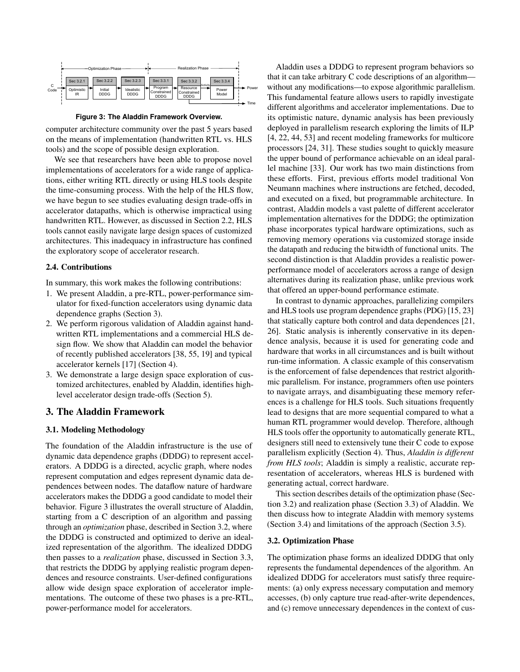

**Figure 3: The Aladdin Framework Overview.**

computer architecture community over the past 5 years based on the means of implementation (handwritten RTL vs. HLS tools) and the scope of possible design exploration.

We see that researchers have been able to propose novel implementations of accelerators for a wide range of applications, either writing RTL directly or using HLS tools despite the time-consuming process. With the help of the HLS flow, we have begun to see studies evaluating design trade-offs in accelerator datapaths, which is otherwise impractical using handwritten RTL. However, as discussed in Section 2.2, HLS tools cannot easily navigate large design spaces of customized architectures. This inadequacy in infrastructure has confined the exploratory scope of accelerator research.

# 2.4. Contributions

In summary, this work makes the following contributions:

- 1. We present Aladdin, a pre-RTL, power-performance simulator for fixed-function accelerators using dynamic data dependence graphs (Section 3).
- 2. We perform rigorous validation of Aladdin against handwritten RTL implementations and a commercial HLS design flow. We show that Aladdin can model the behavior of recently published accelerators [38, 55, 19] and typical accelerator kernels [17] (Section 4).
- 3. We demonstrate a large design space exploration of customized architectures, enabled by Aladdin, identifies highlevel accelerator design trade-offs (Section 5).

# 3. The Aladdin Framework

#### 3.1. Modeling Methodology

The foundation of the Aladdin infrastructure is the use of dynamic data dependence graphs (DDDG) to represent accelerators. A DDDG is a directed, acyclic graph, where nodes represent computation and edges represent dynamic data dependences between nodes. The dataflow nature of hardware accelerators makes the DDDG a good candidate to model their behavior. Figure 3 illustrates the overall structure of Aladdin, starting from a C description of an algorithm and passing through an *optimization* phase, described in Section 3.2, where the DDDG is constructed and optimized to derive an idealized representation of the algorithm. The idealized DDDG then passes to a *realization* phase, discussed in Section 3.3, that restricts the DDDG by applying realistic program dependences and resource constraints. User-defined configurations allow wide design space exploration of accelerator implementations. The outcome of these two phases is a pre-RTL, power-performance model for accelerators.

Aladdin uses a DDDG to represent program behaviors so that it can take arbitrary C code descriptions of an algorithm without any modifications—to expose algorithmic parallelism. This fundamental feature allows users to rapidly investigate different algorithms and accelerator implementations. Due to its optimistic nature, dynamic analysis has been previously deployed in parallelism research exploring the limits of ILP [4, 22, 44, 53] and recent modeling frameworks for multicore processors [24, 31]. These studies sought to quickly measure the upper bound of performance achievable on an ideal parallel machine [33]. Our work has two main distinctions from these efforts. First, previous efforts model traditional Von Neumann machines where instructions are fetched, decoded, and executed on a fixed, but programmable architecture. In contrast, Aladdin models a vast palette of different accelerator implementation alternatives for the DDDG; the optimization phase incorporates typical hardware optimizations, such as removing memory operations via customized storage inside the datapath and reducing the bitwidth of functional units. The second distinction is that Aladdin provides a realistic powerperformance model of accelerators across a range of design alternatives during its realization phase, unlike previous work that offered an upper-bound performance estimate.

In contrast to dynamic approaches, parallelizing compilers and HLS tools use program dependence graphs (PDG) [15, 23] that statically capture both control and data dependences [21, 26]. Static analysis is inherently conservative in its dependence analysis, because it is used for generating code and hardware that works in all circumstances and is built without run-time information. A classic example of this conservatism is the enforcement of false dependences that restrict algorithmic parallelism. For instance, programmers often use pointers to navigate arrays, and disambiguating these memory references is a challenge for HLS tools. Such situations frequently lead to designs that are more sequential compared to what a human RTL programmer would develop. Therefore, although HLS tools offer the opportunity to automatically generate RTL, designers still need to extensively tune their C code to expose parallelism explicitly (Section 4). Thus, *Aladdin is different from HLS tools*; Aladdin is simply a realistic, accurate representation of accelerators, whereas HLS is burdened with generating actual, correct hardware.

This section describes details of the optimization phase (Section 3.2) and realization phase (Section 3.3) of Aladdin. We then discuss how to integrate Aladdin with memory systems (Section 3.4) and limitations of the approach (Section 3.5).

#### 3.2. Optimization Phase

The optimization phase forms an idealized DDDG that only represents the fundamental dependences of the algorithm. An idealized DDDG for accelerators must satisfy three requirements: (a) only express necessary computation and memory accesses, (b) only capture true read-after-write dependences, and (c) remove unnecessary dependences in the context of cus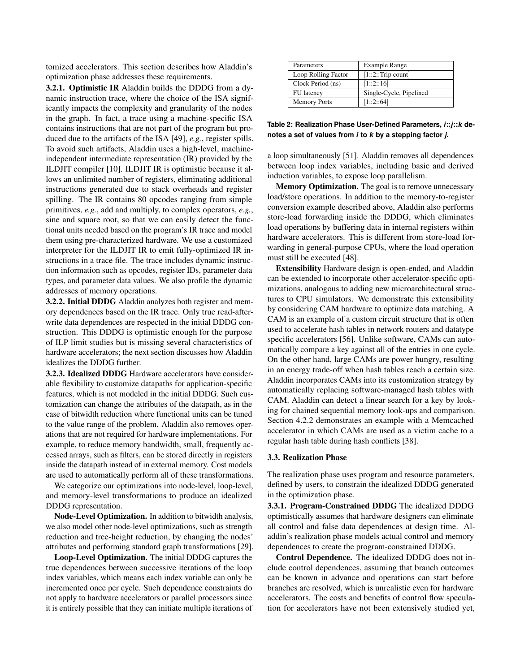tomized accelerators. This section describes how Aladdin's optimization phase addresses these requirements.

3.2.1. Optimistic IR Aladdin builds the DDDG from a dynamic instruction trace, where the choice of the ISA significantly impacts the complexity and granularity of the nodes in the graph. In fact, a trace using a machine-specific ISA contains instructions that are not part of the program but produced due to the artifacts of the ISA [49], *e.g.*, register spills. To avoid such artifacts, Aladdin uses a high-level, machineindependent intermediate representation (IR) provided by the ILDJIT compiler [10]. ILDJIT IR is optimistic because it allows an unlimited number of registers, eliminating additional instructions generated due to stack overheads and register spilling. The IR contains 80 opcodes ranging from simple primitives, *e.g.*, add and multiply, to complex operators, *e.g.*, sine and square root, so that we can easily detect the functional units needed based on the program's IR trace and model them using pre-characterized hardware. We use a customized interpreter for the ILDJIT IR to emit fully-optimized IR instructions in a trace file. The trace includes dynamic instruction information such as opcodes, register IDs, parameter data types, and parameter data values. We also profile the dynamic addresses of memory operations.

3.2.2. Initial DDDG Aladdin analyzes both register and memory dependences based on the IR trace. Only true read-afterwrite data dependences are respected in the initial DDDG construction. This DDDG is optimistic enough for the purpose of ILP limit studies but is missing several characteristics of hardware accelerators; the next section discusses how Aladdin idealizes the DDDG further.

3.2.3. Idealized DDDG Hardware accelerators have considerable flexibility to customize datapaths for application-specific features, which is not modeled in the initial DDDG. Such customization can change the attributes of the datapath, as in the case of bitwidth reduction where functional units can be tuned to the value range of the problem. Aladdin also removes operations that are not required for hardware implementations. For example, to reduce memory bandwidth, small, frequently accessed arrays, such as filters, can be stored directly in registers inside the datapath instead of in external memory. Cost models are used to automatically perform all of these transformations.

We categorize our optimizations into node-level, loop-level, and memory-level transformations to produce an idealized DDDG representation.

Node-Level Optimization. In addition to bitwidth analysis, we also model other node-level optimizations, such as strength reduction and tree-height reduction, by changing the nodes' attributes and performing standard graph transformations [29].

Loop-Level Optimization. The initial DDDG captures the true dependences between successive iterations of the loop index variables, which means each index variable can only be incremented once per cycle. Such dependence constraints do not apply to hardware accelerators or parallel processors since it is entirely possible that they can initiate multiple iterations of

| Parameters          | Example Range           |
|---------------------|-------------------------|
| Loop Rolling Factor | [1::2::Trip count]      |
| Clock Period (ns)   | [1::2::16]              |
| FU latency          | Single-Cycle, Pipelined |
| <b>Memory Ports</b> | [1::2::64]              |

**Table 2: Realization Phase User-Defined Parameters,** *i***::***j***::***k* **denotes a set of values from** *i* **to** *k* **by a stepping factor** *j***.**

a loop simultaneously [51]. Aladdin removes all dependences between loop index variables, including basic and derived induction variables, to expose loop parallelism.

Memory Optimization. The goal is to remove unnecessary load/store operations. In addition to the memory-to-register conversion example described above, Aladdin also performs store-load forwarding inside the DDDG, which eliminates load operations by buffering data in internal registers within hardware accelerators. This is different from store-load forwarding in general-purpose CPUs, where the load operation must still be executed [48].

Extensibility Hardware design is open-ended, and Aladdin can be extended to incorporate other accelerator-specific optimizations, analogous to adding new microarchitectural structures to CPU simulators. We demonstrate this extensibility by considering CAM hardware to optimize data matching. A CAM is an example of a custom circuit structure that is often used to accelerate hash tables in network routers and datatype specific accelerators [56]. Unlike software, CAMs can automatically compare a key against all of the entries in one cycle. On the other hand, large CAMs are power hungry, resulting in an energy trade-off when hash tables reach a certain size. Aladdin incorporates CAMs into its customization strategy by automatically replacing software-managed hash tables with CAM. Aladdin can detect a linear search for a key by looking for chained sequential memory look-ups and comparison. Section 4.2.2 demonstrates an example with a Memcached accelerator in which CAMs are used as a victim cache to a regular hash table during hash conflicts [38].

#### 3.3. Realization Phase

The realization phase uses program and resource parameters, defined by users, to constrain the idealized DDDG generated in the optimization phase.

3.3.1. Program-Constrained DDDG The idealized DDDG optimistically assumes that hardware designers can eliminate all control and false data dependences at design time. Aladdin's realization phase models actual control and memory dependences to create the program-constrained DDDG.

Control Dependence. The idealized DDDG does not include control dependences, assuming that branch outcomes can be known in advance and operations can start before branches are resolved, which is unrealistic even for hardware accelerators. The costs and benefits of control flow speculation for accelerators have not been extensively studied yet,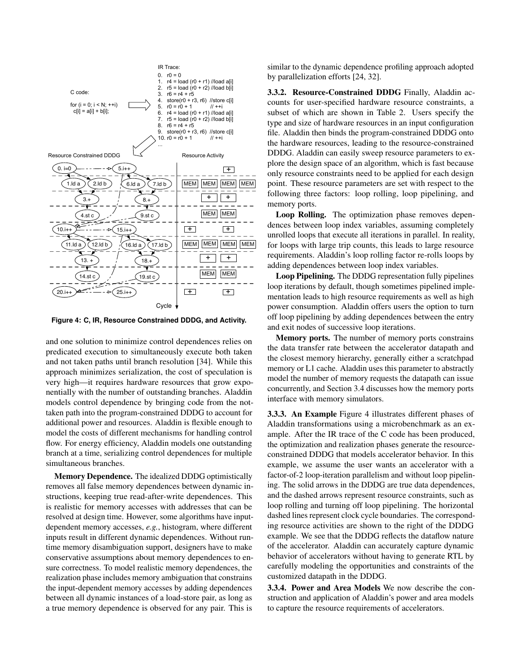

**Figure 4: C, IR, Resource Constrained DDDG, and Activity.**

and one solution to minimize control dependences relies on predicated execution to simultaneously execute both taken and not taken paths until branch resolution [34]. While this approach minimizes serialization, the cost of speculation is very high—it requires hardware resources that grow exponentially with the number of outstanding branches. Aladdin models control dependence by bringing code from the nottaken path into the program-constrained DDDG to account for additional power and resources. Aladdin is flexible enough to model the costs of different mechanisms for handling control flow. For energy efficiency, Aladdin models one outstanding branch at a time, serializing control dependences for multiple simultaneous branches.

Memory Dependence. The idealized DDDG optimistically removes all false memory dependences between dynamic instructions, keeping true read-after-write dependences. This is realistic for memory accesses with addresses that can be resolved at design time. However, some algorithms have inputdependent memory accesses, *e.g.*, histogram, where different inputs result in different dynamic dependences. Without runtime memory disambiguation support, designers have to make conservative assumptions about memory dependences to ensure correctness. To model realistic memory dependences, the realization phase includes memory ambiguation that constrains the input-dependent memory accesses by adding dependences between all dynamic instances of a load-store pair, as long as a true memory dependence is observed for any pair. This is

similar to the dynamic dependence profiling approach adopted by parallelization efforts [24, 32].

3.3.2. Resource-Constrained DDDG Finally, Aladdin accounts for user-specified hardware resource constraints, a subset of which are shown in Table 2. Users specify the type and size of hardware resources in an input configuration file. Aladdin then binds the program-constrained DDDG onto the hardware resources, leading to the resource-constrained DDDG. Aladdin can easily sweep resource parameters to explore the design space of an algorithm, which is fast because only resource constraints need to be applied for each design point. These resource parameters are set with respect to the following three factors: loop rolling, loop pipelining, and memory ports.

Loop Rolling. The optimization phase removes dependences between loop index variables, assuming completely unrolled loops that execute all iterations in parallel. In reality, for loops with large trip counts, this leads to large resource requirements. Aladdin's loop rolling factor re-rolls loops by adding dependences between loop index variables.

Loop Pipelining. The DDDG representation fully pipelines loop iterations by default, though sometimes pipelined implementation leads to high resource requirements as well as high power consumption. Aladdin offers users the option to turn off loop pipelining by adding dependences between the entry and exit nodes of successive loop iterations.

Memory ports. The number of memory ports constrains the data transfer rate between the accelerator datapath and the closest memory hierarchy, generally either a scratchpad memory or L1 cache. Aladdin uses this parameter to abstractly model the number of memory requests the datapath can issue concurrently, and Section 3.4 discusses how the memory ports interface with memory simulators.

3.3.3. An Example Figure 4 illustrates different phases of Aladdin transformations using a microbenchmark as an example. After the IR trace of the C code has been produced, the optimization and realization phases generate the resourceconstrained DDDG that models accelerator behavior. In this example, we assume the user wants an accelerator with a factor-of-2 loop-iteration parallelism and without loop pipelining. The solid arrows in the DDDG are true data dependences, and the dashed arrows represent resource constraints, such as loop rolling and turning off loop pipelining. The horizontal dashed lines represent clock cycle boundaries. The corresponding resource activities are shown to the right of the DDDG example. We see that the DDDG reflects the dataflow nature of the accelerator. Aladdin can accurately capture dynamic behavior of accelerators without having to generate RTL by carefully modeling the opportunities and constraints of the customized datapath in the DDDG.

3.3.4. Power and Area Models We now describe the construction and application of Aladdin's power and area models to capture the resource requirements of accelerators.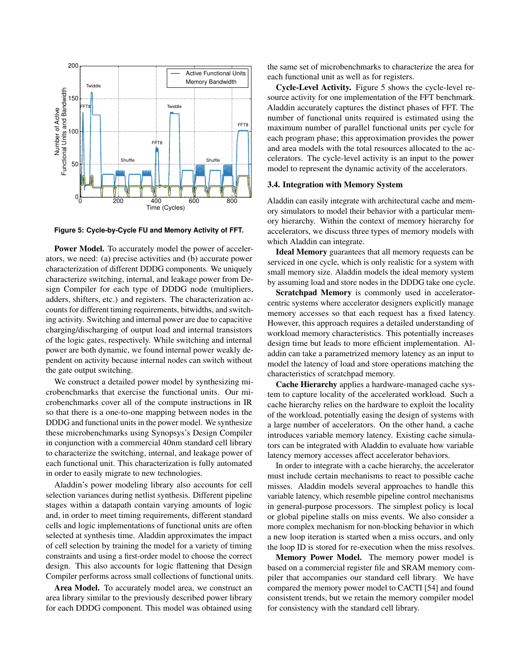

**Figure 5: Cycle-by-Cycle FU and Memory Activity of FFT.**

Power Model. To accurately model the power of accelerators, we need: (a) precise activities and (b) accurate power characterization of different DDDG components. We uniquely characterize switching, internal, and leakage power from Design Compiler for each type of DDDG node (multipliers, adders, shifters, etc.) and registers. The characterization accounts for different timing requirements, bitwidths, and switching activity. Switching and internal power are due to capacitive charging/discharging of output load and internal transistors of the logic gates, respectively. While switching and internal power are both dynamic, we found internal power weakly dependent on activity because internal nodes can switch without the gate output switching.

We construct a detailed power model by synthesizing microbenchmarks that exercise the functional units. Our microbenchmarks cover all of the compute instructions in IR so that there is a one-to-one mapping between nodes in the DDDG and functional units in the power model. We synthesize these microbenchmarks using Synopsys's Design Compiler in conjunction with a commercial 40nm standard cell library to characterize the switching, internal, and leakage power of each functional unit. This characterization is fully automated in order to easily migrate to new technologies.

Aladdin's power modeling library also accounts for cell selection variances during netlist synthesis. Different pipeline stages within a datapath contain varying amounts of logic and, in order to meet timing requirements, different standard cells and logic implementations of functional units are often selected at synthesis time. Aladdin approximates the impact of cell selection by training the model for a variety of timing constraints and using a first-order model to choose the correct design. This also accounts for logic flattening that Design Compiler performs across small collections of functional units.

Area Model. To accurately model area, we construct an area library similar to the previously described power library for each DDDG component. This model was obtained using the same set of microbenchmarks to characterize the area for each functional unit as well as for registers.

Cycle-Level Activity. Figure 5 shows the cycle-level resource activity for one implementation of the FFT benchmark. Aladdin accurately captures the distinct phases of FFT. The number of functional units required is estimated using the maximum number of parallel functional units per cycle for each program phase; this approximation provides the power and area models with the total resources allocated to the accelerators. The cycle-level activity is an input to the power model to represent the dynamic activity of the accelerators.

#### 3.4. Integration with Memory System

Aladdin can easily integrate with architectural cache and memory simulators to model their behavior with a particular memory hierarchy. Within the context of memory hierarchy for accelerators, we discuss three types of memory models with which Aladdin can integrate.

Ideal Memory guarantees that all memory requests can be serviced in one cycle, which is only realistic for a system with small memory size. Aladdin models the ideal memory system by assuming load and store nodes in the DDDG take one cycle.

Scratchpad Memory is commonly used in acceleratorcentric systems where accelerator designers explicitly manage memory accesses so that each request has a fixed latency. However, this approach requires a detailed understanding of workload memory characteristics. This potentially increases design time but leads to more efficient implementation. Aladdin can take a parametrized memory latency as an input to model the latency of load and store operations matching the characteristics of scratchpad memory.

Cache Hierarchy applies a hardware-managed cache system to capture locality of the accelerated workload. Such a cache hierarchy relies on the hardware to exploit the locality of the workload, potentially easing the design of systems with a large number of accelerators. On the other hand, a cache introduces variable memory latency. Existing cache simulators can be integrated with Aladdin to evaluate how variable latency memory accesses affect accelerator behaviors.

In order to integrate with a cache hierarchy, the accelerator must include certain mechanisms to react to possible cache misses. Aladdin models several approaches to handle this variable latency, which resemble pipeline control mechanisms in general-purpose processors. The simplest policy is local or global pipeline stalls on miss events. We also consider a more complex mechanism for non-blocking behavior in which a new loop iteration is started when a miss occurs, and only the loop ID is stored for re-execution when the miss resolves.

Memory Power Model. The memory power model is based on a commercial register file and SRAM memory compiler that accompanies our standard cell library. We have compared the memory power model to CACTI [54] and found consistent trends, but we retain the memory compiler model for consistency with the standard cell library.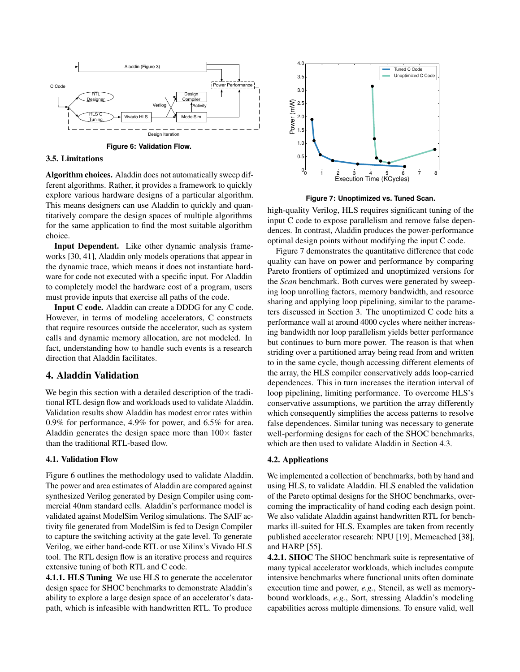

**Figure 6: Validation Flow.**

#### 3.5. Limitations

Algorithm choices. Aladdin does not automatically sweep different algorithms. Rather, it provides a framework to quickly explore various hardware designs of a particular algorithm. This means designers can use Aladdin to quickly and quantitatively compare the design spaces of multiple algorithms for the same application to find the most suitable algorithm choice.

Input Dependent. Like other dynamic analysis frameworks [30, 41], Aladdin only models operations that appear in the dynamic trace, which means it does not instantiate hardware for code not executed with a specific input. For Aladdin to completely model the hardware cost of a program, users must provide inputs that exercise all paths of the code.

Input C code. Aladdin can create a DDDG for any C code. However, in terms of modeling accelerators, C constructs that require resources outside the accelerator, such as system calls and dynamic memory allocation, are not modeled. In fact, understanding how to handle such events is a research direction that Aladdin facilitates.

# 4. Aladdin Validation

We begin this section with a detailed description of the traditional RTL design flow and workloads used to validate Aladdin. Validation results show Aladdin has modest error rates within 0.9% for performance, 4.9% for power, and 6.5% for area. Aladdin generates the design space more than  $100\times$  faster than the traditional RTL-based flow.

## 4.1. Validation Flow

Figure 6 outlines the methodology used to validate Aladdin. The power and area estimates of Aladdin are compared against synthesized Verilog generated by Design Compiler using commercial 40nm standard cells. Aladdin's performance model is validated against ModelSim Verilog simulations. The SAIF activity file generated from ModelSim is fed to Design Compiler to capture the switching activity at the gate level. To generate Verilog, we either hand-code RTL or use Xilinx's Vivado HLS tool. The RTL design flow is an iterative process and requires extensive tuning of both RTL and C code.

4.1.1. HLS Tuning We use HLS to generate the accelerator design space for SHOC benchmarks to demonstrate Aladdin's ability to explore a large design space of an accelerator's datapath, which is infeasible with handwritten RTL. To produce



**Figure 7: Unoptimized vs. Tuned Scan.**

high-quality Verilog, HLS requires significant tuning of the input C code to expose parallelism and remove false dependences. In contrast, Aladdin produces the power-performance optimal design points without modifying the input C code.

Figure 7 demonstrates the quantitative difference that code quality can have on power and performance by comparing Pareto frontiers of optimized and unoptimized versions for the *Scan* benchmark. Both curves were generated by sweeping loop unrolling factors, memory bandwidth, and resource sharing and applying loop pipelining, similar to the parameters discussed in Section 3. The unoptimized C code hits a performance wall at around 4000 cycles where neither increasing bandwidth nor loop parallelism yields better performance but continues to burn more power. The reason is that when striding over a partitioned array being read from and written to in the same cycle, though accessing different elements of the array, the HLS compiler conservatively adds loop-carried dependences. This in turn increases the iteration interval of loop pipelining, limiting performance. To overcome HLS's conservative assumptions, we partition the array differently which consequently simplifies the access patterns to resolve false dependences. Similar tuning was necessary to generate well-performing designs for each of the SHOC benchmarks, which are then used to validate Aladdin in Section 4.3.

## 4.2. Applications

We implemented a collection of benchmarks, both by hand and using HLS, to validate Aladdin. HLS enabled the validation of the Pareto optimal designs for the SHOC benchmarks, overcoming the impracticality of hand coding each design point. We also validate Aladdin against handwritten RTL for benchmarks ill-suited for HLS. Examples are taken from recently published accelerator research: NPU [19], Memcached [38], and HARP [55].

4.2.1. SHOC The SHOC benchmark suite is representative of many typical accelerator workloads, which includes compute intensive benchmarks where functional units often dominate execution time and power, *e.g.*, Stencil, as well as memorybound workloads, *e.g.*, Sort, stressing Aladdin's modeling capabilities across multiple dimensions. To ensure valid, well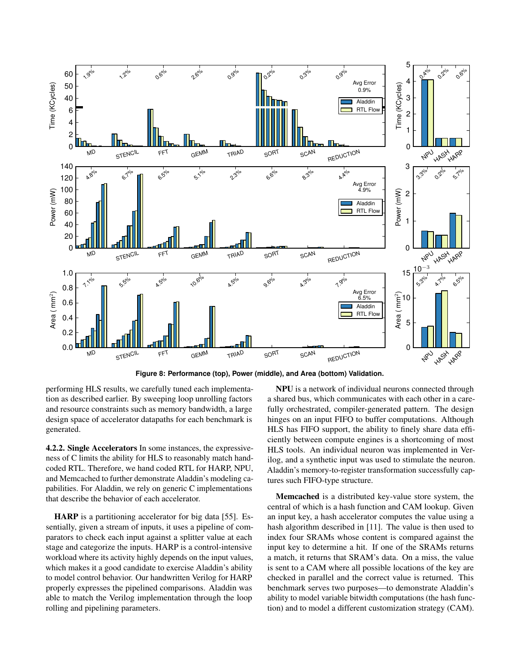

**Figure 8: Performance (top), Power (middle), and Area (bottom) Validation.**

performing HLS results, we carefully tuned each implementation as described earlier. By sweeping loop unrolling factors and resource constraints such as memory bandwidth, a large design space of accelerator datapaths for each benchmark is generated.

4.2.2. Single Accelerators In some instances, the expressiveness of C limits the ability for HLS to reasonably match handcoded RTL. Therefore, we hand coded RTL for HARP, NPU, and Memcached to further demonstrate Aladdin's modeling capabilities. For Aladdin, we rely on generic C implementations that describe the behavior of each accelerator.

HARP is a partitioning accelerator for big data [55]. Essentially, given a stream of inputs, it uses a pipeline of comparators to check each input against a splitter value at each stage and categorize the inputs. HARP is a control-intensive workload where its activity highly depends on the input values, which makes it a good candidate to exercise Aladdin's ability to model control behavior. Our handwritten Verilog for HARP properly expresses the pipelined comparisons. Aladdin was able to match the Verilog implementation through the loop rolling and pipelining parameters.

NPU is a network of individual neurons connected through a shared bus, which communicates with each other in a carefully orchestrated, compiler-generated pattern. The design hinges on an input FIFO to buffer computations. Although HLS has FIFO support, the ability to finely share data efficiently between compute engines is a shortcoming of most HLS tools. An individual neuron was implemented in Verilog, and a synthetic input was used to stimulate the neuron. Aladdin's memory-to-register transformation successfully captures such FIFO-type structure.

Memcached is a distributed key-value store system, the central of which is a hash function and CAM lookup. Given an input key, a hash accelerator computes the value using a hash algorithm described in [11]. The value is then used to index four SRAMs whose content is compared against the input key to determine a hit. If one of the SRAMs returns a match, it returns that SRAM's data. On a miss, the value is sent to a CAM where all possible locations of the key are checked in parallel and the correct value is returned. This benchmark serves two purposes—to demonstrate Aladdin's ability to model variable bitwidth computations (the hash function) and to model a different customization strategy (CAM).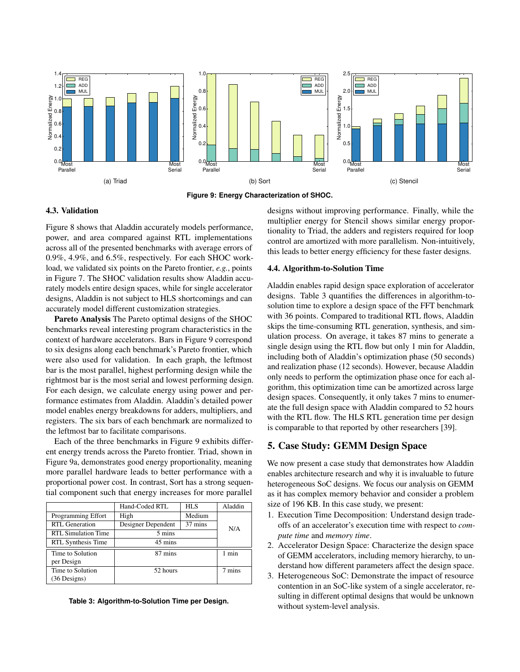

**Figure 9: Energy Characterization of SHOC.**

# 4.3. Validation

Figure 8 shows that Aladdin accurately models performance, power, and area compared against RTL implementations across all of the presented benchmarks with average errors of 0.9%, 4.9%, and 6.5%, respectively. For each SHOC workload, we validated six points on the Pareto frontier, *e.g.*, points in Figure 7. The SHOC validation results show Aladdin accurately models entire design spaces, while for single accelerator designs, Aladdin is not subject to HLS shortcomings and can accurately model different customization strategies.

Pareto Analysis The Pareto optimal designs of the SHOC benchmarks reveal interesting program characteristics in the context of hardware accelerators. Bars in Figure 9 correspond to six designs along each benchmark's Pareto frontier, which were also used for validation. In each graph, the leftmost bar is the most parallel, highest performing design while the rightmost bar is the most serial and lowest performing design. For each design, we calculate energy using power and performance estimates from Aladdin. Aladdin's detailed power model enables energy breakdowns for adders, multipliers, and registers. The six bars of each benchmark are normalized to the leftmost bar to facilitate comparisons.

Each of the three benchmarks in Figure 9 exhibits different energy trends across the Pareto frontier. Triad, shown in Figure 9a, demonstrates good energy proportionality, meaning more parallel hardware leads to better performance with a proportional power cost. In contrast, Sort has a strong sequential component such that energy increases for more parallel

|                       | Hand-Coded RTL     | HL S    | Aladdin |
|-----------------------|--------------------|---------|---------|
| Programming Effort    | High               | Medium  |         |
| <b>RTL</b> Generation | Designer Dependent | 37 mins | N/A     |
| RTL Simulation Time   | 5 mins             |         |         |
| RTL Synthesis Time    | 45 mins            |         |         |
| Time to Solution      | 87 mins            |         | 1 min   |
| per Design            |                    |         |         |
| Time to Solution      | 52 hours           |         | 7 mins  |
| $(36$ Designs)        |                    |         |         |

**Table 3: Algorithm-to-Solution Time per Design.**

designs without improving performance. Finally, while the multiplier energy for Stencil shows similar energy proportionality to Triad, the adders and registers required for loop control are amortized with more parallelism. Non-intuitively, this leads to better energy efficiency for these faster designs.

#### 4.4. Algorithm-to-Solution Time

Aladdin enables rapid design space exploration of accelerator designs. Table 3 quantifies the differences in algorithm-tosolution time to explore a design space of the FFT benchmark with 36 points. Compared to traditional RTL flows, Aladdin skips the time-consuming RTL generation, synthesis, and simulation process. On average, it takes 87 mins to generate a single design using the RTL flow but only 1 min for Aladdin, including both of Aladdin's optimization phase (50 seconds) and realization phase (12 seconds). However, because Aladdin only needs to perform the optimization phase once for each algorithm, this optimization time can be amortized across large design spaces. Consequently, it only takes 7 mins to enumerate the full design space with Aladdin compared to 52 hours with the RTL flow. The HLS RTL generation time per design is comparable to that reported by other researchers [39].

# 5. Case Study: GEMM Design Space

We now present a case study that demonstrates how Aladdin enables architecture research and why it is invaluable to future heterogeneous SoC designs. We focus our analysis on GEMM as it has complex memory behavior and consider a problem size of 196 KB. In this case study, we present:

- 1. Execution Time Decomposition: Understand design tradeoffs of an accelerator's execution time with respect to *compute time* and *memory time*.
- 2. Accelerator Design Space: Characterize the design space of GEMM accelerators, including memory hierarchy, to understand how different parameters affect the design space.
- 3. Heterogeneous SoC: Demonstrate the impact of resource contention in an SoC-like system of a single accelerator, resulting in different optimal designs that would be unknown without system-level analysis.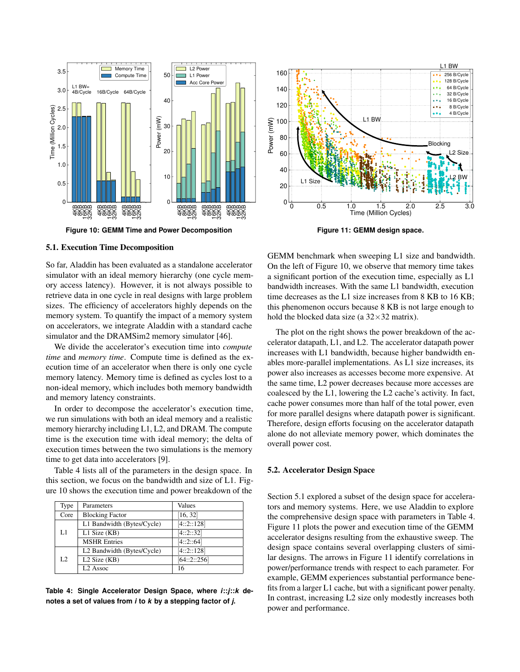

**Figure 10: GEMM Time and Power Decomposition**

#### L1 BW 160 256 B/Cycle 128 B/Cycle 64 B/Cycle 140 L. 32 B/Cycle 16 B/Cycle 120 e se 8 B/Cycle  $\bullet\;\bullet$ 4 B/Cycle L1 BW Power (mW) 100 80 Blocking 60 L2 Size 40 L2 BW L1 Size 20  $0\frac{1}{0}$ 0 0.5 1.0 1.5 2.0 2.5 3.0 Time (Million Cycles)

**Figure 11: GEMM design space.**

#### 5.1. Execution Time Decomposition

So far, Aladdin has been evaluated as a standalone accelerator simulator with an ideal memory hierarchy (one cycle memory access latency). However, it is not always possible to retrieve data in one cycle in real designs with large problem sizes. The efficiency of accelerators highly depends on the memory system. To quantify the impact of a memory system on accelerators, we integrate Aladdin with a standard cache simulator and the DRAMSim2 memory simulator [46].

We divide the accelerator's execution time into *compute time* and *memory time*. Compute time is defined as the execution time of an accelerator when there is only one cycle memory latency. Memory time is defined as cycles lost to a non-ideal memory, which includes both memory bandwidth and memory latency constraints.

In order to decompose the accelerator's execution time, we run simulations with both an ideal memory and a realistic memory hierarchy including L1, L2, and DRAM. The compute time is the execution time with ideal memory; the delta of execution times between the two simulations is the memory time to get data into accelerators [9].

Table 4 lists all of the parameters in the design space. In this section, we focus on the bandwidth and size of L1. Figure 10 shows the execution time and power breakdown of the

| Type | Parameters                 | Values       |
|------|----------------------------|--------------|
| Core | <b>Blocking Factor</b>     | [16, 32]     |
| L1   | L1 Bandwidth (Bytes/Cycle) | [4::2::128]  |
|      | L1 Size (KB)               | [4::2::32]   |
|      | <b>MSHR</b> Entries        | [4::2::64]   |
| L2   | L2 Bandwidth (Bytes/Cycle) | [4::2::128]  |
|      | $L2$ Size (KB)             | [64::2::256] |
|      | L <sub>2</sub> Assoc       | 16           |

**Table 4: Single Accelerator Design Space, where** *i***::***j***::***k* **denotes a set of values from** *i* **to** *k* **by a stepping factor of** *j***.**

GEMM benchmark when sweeping L1 size and bandwidth. On the left of Figure 10, we observe that memory time takes a significant portion of the execution time, especially as L1 bandwidth increases. With the same L1 bandwidth, execution time decreases as the L1 size increases from 8 KB to 16 KB; this phenomenon occurs because 8 KB is not large enough to hold the blocked data size (a  $32\times32$  matrix).

The plot on the right shows the power breakdown of the accelerator datapath, L1, and L2. The accelerator datapath power increases with L1 bandwidth, because higher bandwidth enables more-parallel implementations. As L1 size increases, its power also increases as accesses become more expensive. At the same time, L2 power decreases because more accesses are coalesced by the L1, lowering the L2 cache's activity. In fact, cache power consumes more than half of the total power, even for more parallel designs where datapath power is significant. Therefore, design efforts focusing on the accelerator datapath alone do not alleviate memory power, which dominates the overall power cost.

# 5.2. Accelerator Design Space

Section 5.1 explored a subset of the design space for accelerators and memory systems. Here, we use Aladdin to explore the comprehensive design space with parameters in Table 4. Figure 11 plots the power and execution time of the GEMM accelerator designs resulting from the exhaustive sweep. The design space contains several overlapping clusters of similar designs. The arrows in Figure 11 identify correlations in power/performance trends with respect to each parameter. For example, GEMM experiences substantial performance benefits from a larger L1 cache, but with a significant power penalty. In contrast, increasing L2 size only modestly increases both power and performance.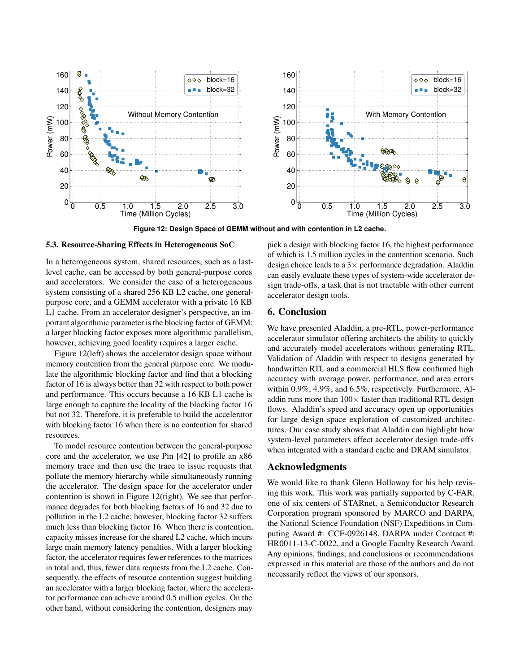

**Figure 12: Design Space of GEMM without and with contention in L2 cache.**

## 5.3. Resource-Sharing Effects in Heterogeneous SoC

In a heterogeneous system, shared resources, such as a lastlevel cache, can be accessed by both general-purpose cores and accelerators. We consider the case of a heterogeneous system consisting of a shared 256 KB L2 cache, one generalpurpose core, and a GEMM accelerator with a private 16 KB L1 cache. From an accelerator designer's perspective, an important algorithmic parameter is the blocking factor of GEMM; a larger blocking factor exposes more algorithmic parallelism, however, achieving good locality requires a larger cache.

Figure 12(left) shows the accelerator design space without memory contention from the general purpose core. We modulate the algorithmic blocking factor and find that a blocking factor of 16 is always better than 32 with respect to both power and performance. This occurs because a 16 KB L1 cache is large enough to capture the locality of the blocking factor 16 but not 32. Therefore, it is preferable to build the accelerator with blocking factor 16 when there is no contention for shared resources.

To model resource contention between the general-purpose core and the accelerator, we use Pin [42] to profile an x86 memory trace and then use the trace to issue requests that pollute the memory hierarchy while simultaneously running the accelerator. The design space for the accelerator under contention is shown in Figure 12(right). We see that performance degrades for both blocking factors of 16 and 32 due to pollution in the L2 cache; however, blocking factor 32 suffers much less than blocking factor 16. When there is contention, capacity misses increase for the shared L2 cache, which incurs large main memory latency penalties. With a larger blocking factor, the accelerator requires fewer references to the matrices in total and, thus, fewer data requests from the L2 cache. Consequently, the effects of resource contention suggest building an accelerator with a larger blocking factor, where the accelerator performance can achieve around 0.5 million cycles. On the other hand, without considering the contention, designers may

pick a design with blocking factor 16, the highest performance of which is 1.5 million cycles in the contention scenario. Such design choice leads to a  $3\times$  performance degradation. Aladdin can easily evaluate these types of system-wide accelerator design trade-offs, a task that is not tractable with other current accelerator design tools.

# 6. Conclusion

We have presented Aladdin, a pre-RTL, power-performance accelerator simulator offering architects the ability to quickly and accurately model accelerators without generating RTL. Validation of Aladdin with respect to designs generated by handwritten RTL and a commercial HLS flow confirmed high accuracy with average power, performance, and area errors within 0.9%, 4.9%, and 6.5%, respectively. Furthermore, Aladdin runs more than  $100 \times$  faster than traditional RTL design flows. Aladdin's speed and accuracy open up opportunities for large design space exploration of customized architectures. Our case study shows that Aladdin can highlight how system-level parameters affect accelerator design trade-offs when integrated with a standard cache and DRAM simulator.

# Acknowledgments

We would like to thank Glenn Holloway for his help revising this work. This work was partially supported by C-FAR, one of six centers of STARnet, a Semiconductor Research Corporation program sponsored by MARCO and DARPA, the National Science Foundation (NSF) Expeditions in Computing Award #: CCF-0926148, DARPA under Contract #: HR0011-13-C-0022, and a Google Faculty Research Award. Any opinions, findings, and conclusions or recommendations expressed in this material are those of the authors and do not necessarily reflect the views of our sponsors.